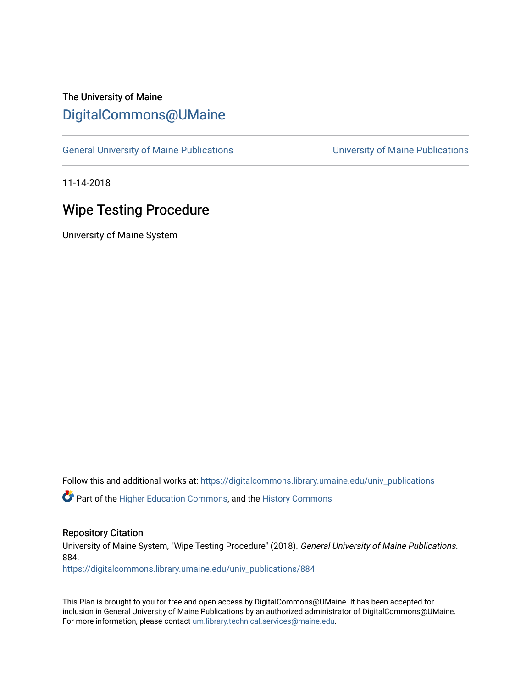# The University of Maine [DigitalCommons@UMaine](https://digitalcommons.library.umaine.edu/)

[General University of Maine Publications](https://digitalcommons.library.umaine.edu/univ_publications) [University of Maine Publications](https://digitalcommons.library.umaine.edu/umaine_publications) 

11-14-2018

## Wipe Testing Procedure

University of Maine System

Follow this and additional works at: [https://digitalcommons.library.umaine.edu/univ\\_publications](https://digitalcommons.library.umaine.edu/univ_publications?utm_source=digitalcommons.library.umaine.edu%2Funiv_publications%2F884&utm_medium=PDF&utm_campaign=PDFCoverPages) 

Part of the [Higher Education Commons,](http://network.bepress.com/hgg/discipline/1245?utm_source=digitalcommons.library.umaine.edu%2Funiv_publications%2F884&utm_medium=PDF&utm_campaign=PDFCoverPages) and the [History Commons](http://network.bepress.com/hgg/discipline/489?utm_source=digitalcommons.library.umaine.edu%2Funiv_publications%2F884&utm_medium=PDF&utm_campaign=PDFCoverPages)

#### Repository Citation

University of Maine System, "Wipe Testing Procedure" (2018). General University of Maine Publications. 884.

[https://digitalcommons.library.umaine.edu/univ\\_publications/884](https://digitalcommons.library.umaine.edu/univ_publications/884?utm_source=digitalcommons.library.umaine.edu%2Funiv_publications%2F884&utm_medium=PDF&utm_campaign=PDFCoverPages) 

This Plan is brought to you for free and open access by DigitalCommons@UMaine. It has been accepted for inclusion in General University of Maine Publications by an authorized administrator of DigitalCommons@UMaine. For more information, please contact [um.library.technical.services@maine.edu](mailto:um.library.technical.services@maine.edu).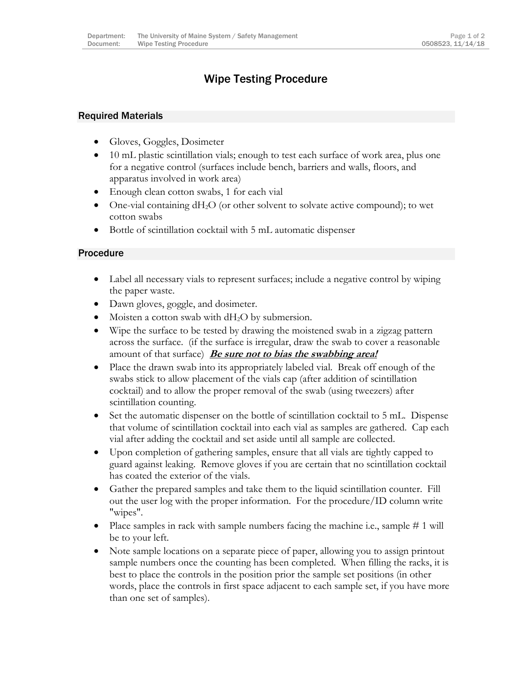## Wipe Testing Procedure

### Required Materials

- Gloves, Goggles, Dosimeter
- 10 mL plastic scintillation vials; enough to test each surface of work area, plus one for a negative control (surfaces include bench, barriers and walls, floors, and apparatus involved in work area)
- Enough clean cotton swabs, 1 for each vial
- $\bullet$  One-vial containing dH<sub>2</sub>O (or other solvent to solvate active compound); to wet cotton swabs
- Bottle of scintillation cocktail with 5 mL automatic dispenser

### Procedure

- Label all necessary vials to represent surfaces; include a negative control by wiping the paper waste.
- Dawn gloves, goggle, and dosimeter.
- Moisten a cotton swab with  $dH_2O$  by submersion.
- Wipe the surface to be tested by drawing the moistened swab in a zigzag pattern across the surface. (if the surface is irregular, draw the swab to cover a reasonable amount of that surface) **Be sure not to bias the swabbing area!**
- Place the drawn swab into its appropriately labeled vial. Break off enough of the swabs stick to allow placement of the vials cap (after addition of scintillation cocktail) and to allow the proper removal of the swab (using tweezers) after scintillation counting.
- Set the automatic dispenser on the bottle of scintillation cocktail to 5 mL. Dispense that volume of scintillation cocktail into each vial as samples are gathered. Cap each vial after adding the cocktail and set aside until all sample are collected.
- Upon completion of gathering samples, ensure that all vials are tightly capped to guard against leaking. Remove gloves if you are certain that no scintillation cocktail has coated the exterior of the vials.
- Gather the prepared samples and take them to the liquid scintillation counter. Fill out the user log with the proper information. For the procedure/ID column write "wipes".
- Place samples in rack with sample numbers facing the machine i.e., sample # 1 will be to your left.
- Note sample locations on a separate piece of paper, allowing you to assign printout sample numbers once the counting has been completed. When filling the racks, it is best to place the controls in the position prior the sample set positions (in other words, place the controls in first space adjacent to each sample set, if you have more than one set of samples).